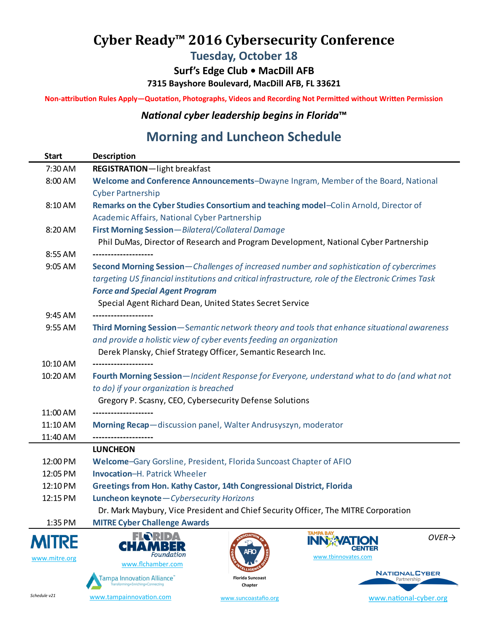## **Cyber Ready™ 2016 Cybersecurity Conference**

**Tuesday, October 18**

**Surf's Edge Club • MacDill AFB 7315 Bayshore Boulevard, MacDill AFB, FL 33621**

**Non-attribution Rules Apply—Quotation, Photographs, Videos and Recording Not Permitted without Written Permission**

*National cyber leadership begins in Florida***™**

## **Morning and Luncheon Schedule**

| <b>Start</b>         | <b>Description</b>                                                                                                              |
|----------------------|---------------------------------------------------------------------------------------------------------------------------------|
| 7:30 AM              | REGISTRATION-light breakfast                                                                                                    |
| 8:00 AM              | Welcome and Conference Announcements-Dwayne Ingram, Member of the Board, National                                               |
|                      | <b>Cyber Partnership</b>                                                                                                        |
| 8:10 AM              | Remarks on the Cyber Studies Consortium and teaching model-Colin Arnold, Director of                                            |
|                      | Academic Affairs, National Cyber Partnership                                                                                    |
| 8:20 AM              | First Morning Session-Bilateral/Collateral Damage                                                                               |
|                      | Phil DuMas, Director of Research and Program Development, National Cyber Partnership                                            |
| 8:55 AM              |                                                                                                                                 |
| 9:05 AM              | Second Morning Session-Challenges of increased number and sophistication of cybercrimes                                         |
|                      | targeting US financial institutions and critical infrastructure, role of the Electronic Crimes Task                             |
|                      | <b>Force and Special Agent Program</b>                                                                                          |
|                      | Special Agent Richard Dean, United States Secret Service                                                                        |
| 9:45 AM              | .                                                                                                                               |
| 9:55 AM              | Third Morning Session—Semantic network theory and tools that enhance situational awareness                                      |
|                      | and provide a holistic view of cyber events feeding an organization                                                             |
|                      | Derek Plansky, Chief Strategy Officer, Semantic Research Inc.                                                                   |
| 10:10 AM             |                                                                                                                                 |
| 10:20 AM             | Fourth Morning Session-Incident Response for Everyone, understand what to do (and what not                                      |
|                      | to do) if your organization is breached                                                                                         |
|                      | Gregory P. Scasny, CEO, Cybersecurity Defense Solutions                                                                         |
| 11:00 AM             |                                                                                                                                 |
| 11:10 AM             | Morning Recap-discussion panel, Walter Andrusyszyn, moderator                                                                   |
| 11:40 AM             |                                                                                                                                 |
|                      | <b>LUNCHEON</b>                                                                                                                 |
| 12:00 PM<br>12:05 PM | Welcome-Gary Gorsline, President, Florida Suncoast Chapter of AFIO<br><b>Invocation-H. Patrick Wheeler</b>                      |
| 12:10 PM             | Greetings from Hon. Kathy Castor, 14th Congressional District, Florida                                                          |
| 12:15 PM             | Luncheon keynote-Cybersecurity Horizons                                                                                         |
|                      | Dr. Mark Maybury, Vice President and Chief Security Officer, The MITRE Corporation                                              |
| 1:35 PM              | <b>MITRE Cyber Challenge Awards</b>                                                                                             |
|                      | <b>TAMPA BAY</b><br>FLORIDA<br>$OVER\rightarrow$                                                                                |
| <b>MITRE</b>         | <b>INN:</b><br>CHAMR<br>ER<br>CENTER                                                                                            |
| www.mitre.org        | Foundation<br>www.tbinnovates.com<br>www.flchamber.com                                                                          |
|                      | <b>NATIONALCYBER</b>                                                                                                            |
|                      | <b>Tampa Innovation Alliance</b><br><b>Florida Suncoast</b><br>Partnership<br>.<br>Fransforming+Enriching+Connecting<br>Chapter |

www.suncoastafio.org

www.national-cyber.org

3:00 PM **[Second afternoon sess](http://tampainnovation.com/)ion**—*Rise o[f the machines—u](http://suncoastafio.org)nattended network a[ppliances \(UNAs\)](http://national-cyber.org)* www.tampainnovation.com *Schedule v21*